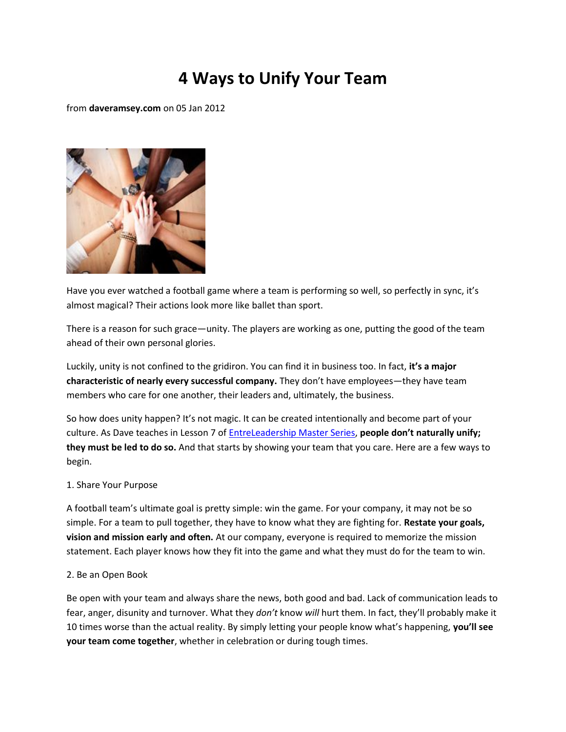# **4 Ways to Unify Your Team**

from **daveramsey.com** on 05 Jan 2012



Have you ever watched a football game where a team is performing so well, so perfectly in sync, it's almost magical? Their actions look more like ballet than sport.

There is a reason for such grace—unity. The players are working as one, putting the good of the team ahead of their own personal glories.

Luckily, unity is not confined to the gridiron. You can find it in business too. In fact, **it's a major characteristic of nearly every successful company.** They don't have employees—they have team members who care for one another, their leaders and, ultimately, the business.

So how does unity happen? It's not magic. It can be created intentionally and become part of your culture. As Dave teaches in Lesson 7 o[f EntreLeadership Master Series,](http://www.daveramsey.com/entreleadership/conference) **people don't naturally unify; they must be led to do so.** And that starts by showing your team that you care. Here are a few ways to begin.

#### 1. Share Your Purpose

A football team's ultimate goal is pretty simple: win the game. For your company, it may not be so simple. For a team to pull together, they have to know what they are fighting for. **Restate your goals, vision and mission early and often.** At our company, everyone is required to memorize the mission statement. Each player knows how they fit into the game and what they must do for the team to win.

#### 2. Be an Open Book

Be open with your team and always share the news, both good and bad. Lack of communication leads to fear, anger, disunity and turnover. What they *don't* know *will* hurt them. In fact, they'll probably make it 10 times worse than the actual reality. By simply letting your people know what's happening, **you'll see your team come together**, whether in celebration or during tough times.